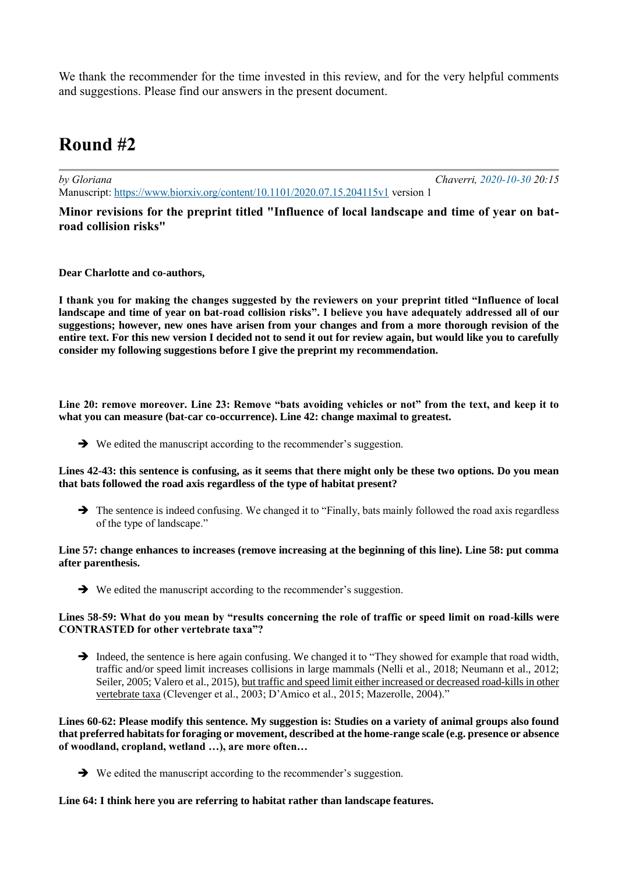We thank the recommender for the time invested in this review, and for the very helpful comments and suggestions. Please find our answers in the present document.

# **Round #2**

*by Gloriana Chaverri, 2020-10-30 20:15* Manuscript: <https://www.biorxiv.org/content/10.1101/2020.07.15.204115v1> version 1

**Minor revisions for the preprint titled "Influence of local landscape and time of year on batroad collision risks"**

**Dear Charlotte and co-authors,**

**I thank you for making the changes suggested by the reviewers on your preprint titled "Influence of local landscape and time of year on bat-road collision risks". I believe you have adequately addressed all of our suggestions; however, new ones have arisen from your changes and from a more thorough revision of the entire text. For this new version I decided not to send it out for review again, but would like you to carefully consider my following suggestions before I give the preprint my recommendation.**

**Line 20: remove moreover. Line 23: Remove "bats avoiding vehicles or not" from the text, and keep it to what you can measure (bat-car co-occurrence). Line 42: change maximal to greatest.** 

➔ We edited the manuscript according to the recommender's suggestion.

#### **Lines 42-43: this sentence is confusing, as it seems that there might only be these two options. Do you mean that bats followed the road axis regardless of the type of habitat present?**

➔ The sentence is indeed confusing. We changed it to "Finally, bats mainly followed the road axis regardless of the type of landscape."

## **Line 57: change enhances to increases (remove increasing at the beginning of this line). Line 58: put comma after parenthesis.**

➔ We edited the manuscript according to the recommender's suggestion.

### **Lines 58-59: What do you mean by "results concerning the role of traffic or speed limit on road-kills were CONTRASTED for other vertebrate taxa"?**

➔ Indeed, the sentence is here again confusing. We changed it to "They showed for example that road width, traffic and/or speed limit increases collisions in large mammals (Nelli et al., 2018; Neumann et al., 2012; Seiler, 2005; Valero et al., 2015), but traffic and speed limit either increased or decreased road-kills in other vertebrate taxa (Clevenger et al., 2003; D'Amico et al., 2015; Mazerolle, 2004)."

**Lines 60-62: Please modify this sentence. My suggestion is: Studies on a variety of animal groups also found that preferred habitats for foraging or movement, described at the home-range scale (e.g. presence or absence of woodland, cropland, wetland …), are more often…** 

➔ We edited the manuscript according to the recommender's suggestion.

## **Line 64: I think here you are referring to habitat rather than landscape features.**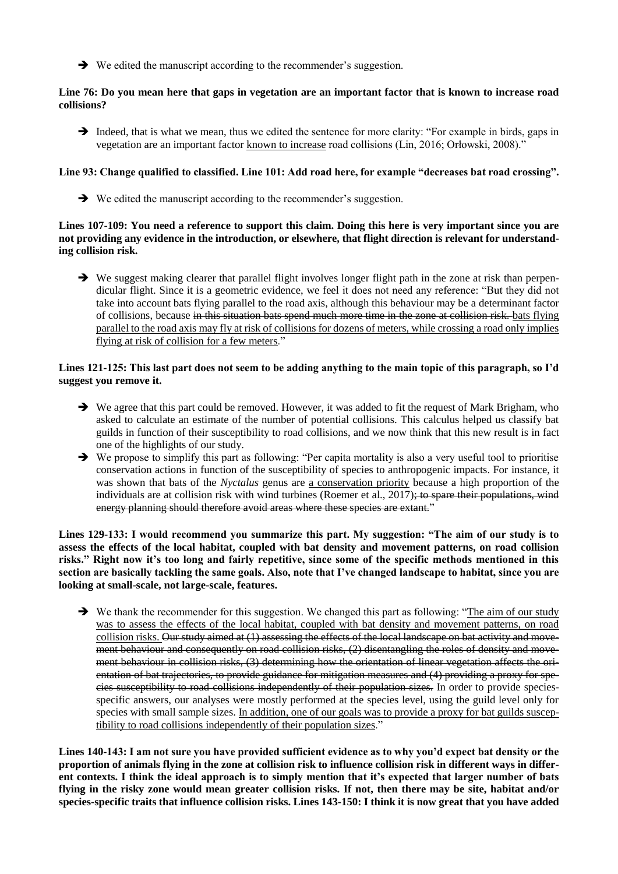➔ We edited the manuscript according to the recommender's suggestion.

## **Line 76: Do you mean here that gaps in vegetation are an important factor that is known to increase road collisions?**

➔ Indeed, that is what we mean, thus we edited the sentence for more clarity: "For example in birds, gaps in vegetation are an important factor known to increase road collisions (Lin, 2016; Orłowski, 2008)."

# **Line 93: Change qualified to classified. Line 101: Add road here, for example "decreases bat road crossing".**

➔ We edited the manuscript according to the recommender's suggestion.

## **Lines 107-109: You need a reference to support this claim. Doing this here is very important since you are not providing any evidence in the introduction, or elsewhere, that flight direction is relevant for understanding collision risk.**

→ We suggest making clearer that parallel flight involves longer flight path in the zone at risk than perpendicular flight. Since it is a geometric evidence, we feel it does not need any reference: "But they did not take into account bats flying parallel to the road axis, although this behaviour may be a determinant factor of collisions, because in this situation bats spend much more time in the zone at collision risk. bats flying parallel to the road axis may fly at risk of collisions for dozens of meters, while crossing a road only implies flying at risk of collision for a few meters."

## **Lines 121-125: This last part does not seem to be adding anything to the main topic of this paragraph, so I'd suggest you remove it.**

- → We agree that this part could be removed. However, it was added to fit the request of Mark Brigham, who asked to calculate an estimate of the number of potential collisions. This calculus helped us classify bat guilds in function of their susceptibility to road collisions, and we now think that this new result is in fact one of the highlights of our study.
- ➔ We propose to simplify this part as following: "Per capita mortality is also a very useful tool to prioritise conservation actions in function of the susceptibility of species to anthropogenic impacts. For instance, it was shown that bats of the *Nyctalus* genus are a conservation priority because a high proportion of the individuals are at collision risk with wind turbines (Roemer et al., 2017); to spare their populations, wind energy planning should therefore avoid areas where these species are extant."

**Lines 129-133: I would recommend you summarize this part. My suggestion: "The aim of our study is to assess the effects of the local habitat, coupled with bat density and movement patterns, on road collision risks." Right now it's too long and fairly repetitive, since some of the specific methods mentioned in this section are basically tackling the same goals. Also, note that I've changed landscape to habitat, since you are looking at small-scale, not large-scale, features.** 

➔ We thank the recommender for this suggestion. We changed this part as following: "The aim of our study was to assess the effects of the local habitat, coupled with bat density and movement patterns, on road collision risks. Our study aimed at (1) assessing the effects of the local landscape on bat activity and movement behaviour and consequently on road collision risks, (2) disentangling the roles of density and movement behaviour in collision risks, (3) determining how the orientation of linear vegetation affects the orientation of bat trajectories, to provide guidance for mitigation measures and (4) providing a proxy for species susceptibility to road collisions independently of their population sizes. In order to provide speciesspecific answers, our analyses were mostly performed at the species level, using the guild level only for species with small sample sizes. In addition, one of our goals was to provide a proxy for bat guilds susceptibility to road collisions independently of their population sizes."

**Lines 140-143: I am not sure you have provided sufficient evidence as to why you'd expect bat density or the proportion of animals flying in the zone at collision risk to influence collision risk in different ways in different contexts. I think the ideal approach is to simply mention that it's expected that larger number of bats flying in the risky zone would mean greater collision risks. If not, then there may be site, habitat and/or species-specific traits that influence collision risks. Lines 143-150: I think it is now great that you have added**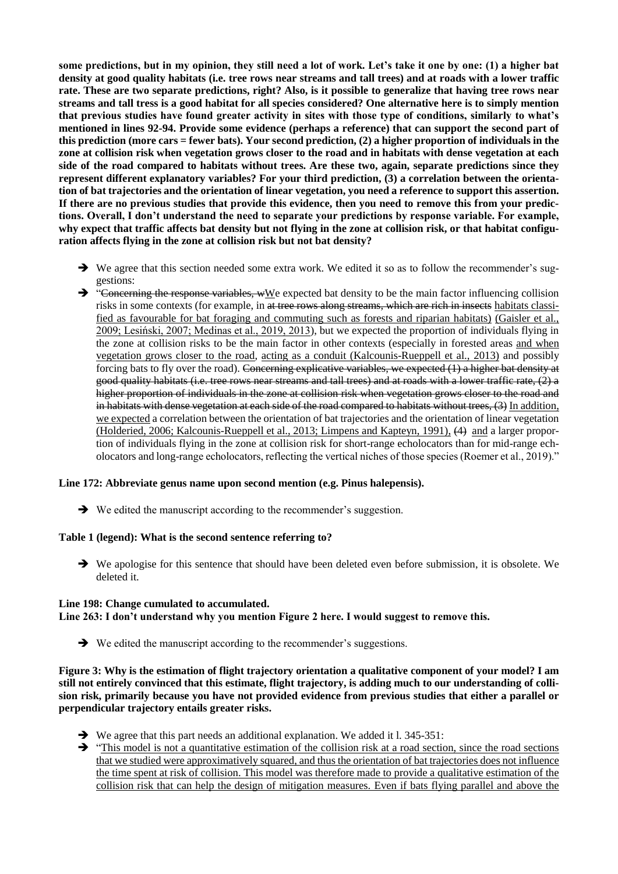**some predictions, but in my opinion, they still need a lot of work. Let's take it one by one: (1) a higher bat density at good quality habitats (i.e. tree rows near streams and tall trees) and at roads with a lower traffic rate. These are two separate predictions, right? Also, is it possible to generalize that having tree rows near streams and tall tress is a good habitat for all species considered? One alternative here is to simply mention that previous studies have found greater activity in sites with those type of conditions, similarly to what's mentioned in lines 92-94. Provide some evidence (perhaps a reference) that can support the second part of this prediction (more cars = fewer bats). Your second prediction, (2) a higher proportion of individuals in the zone at collision risk when vegetation grows closer to the road and in habitats with dense vegetation at each side of the road compared to habitats without trees. Are these two, again, separate predictions since they represent different explanatory variables? For your third prediction, (3) a correlation between the orientation of bat trajectories and the orientation of linear vegetation, you need a reference to support this assertion. If there are no previous studies that provide this evidence, then you need to remove this from your predictions. Overall, I don't understand the need to separate your predictions by response variable. For example, why expect that traffic affects bat density but not flying in the zone at collision risk, or that habitat configuration affects flying in the zone at collision risk but not bat density?** 

- → We agree that this section needed some extra work. We edited it so as to follow the recommender's suggestions:
- $\rightarrow$  "Concerning the response variables, wWe expected bat density to be the main factor influencing collision risks in some contexts (for example, in at tree rows along streams, which are rich in insects habitats classified as favourable for bat foraging and commuting such as forests and riparian habitats) (Gaisler et al., 2009; Lesiński, 2007; Medinas et al., 2019, 2013), but we expected the proportion of individuals flying in the zone at collision risks to be the main factor in other contexts (especially in forested areas and when vegetation grows closer to the road, acting as a conduit (Kalcounis-Rueppell et al., 2013) and possibly forcing bats to fly over the road). Concerning explicative variables, we expected (1) a higher bat density at good quality habitats (i.e. tree rows near streams and tall trees) and at roads with a lower traffic rate, (2) a higher proportion of individuals in the zone at collision risk when vegetation grows closer to the road and in habitats with dense vegetation at each side of the road compared to habitats without trees, (3) In addition, we expected a correlation between the orientation of bat trajectories and the orientation of linear vegetation (Holderied, 2006; Kalcounis-Rueppell et al., 2013; Limpens and Kapteyn, 1991), (4) and a larger proportion of individuals flying in the zone at collision risk for short-range echolocators than for mid-range echolocators and long-range echolocators, reflecting the vertical niches of those species (Roemer et al., 2019)."

#### **Line 172: Abbreviate genus name upon second mention (e.g. Pinus halepensis).**

➔ We edited the manuscript according to the recommender's suggestion.

#### **Table 1 (legend): What is the second sentence referring to?**

➔ We apologise for this sentence that should have been deleted even before submission, it is obsolete. We deleted it.

## **Line 198: Change cumulated to accumulated.**

#### **Line 263: I don't understand why you mention Figure 2 here. I would suggest to remove this.**

➔ We edited the manuscript according to the recommender's suggestions.

**Figure 3: Why is the estimation of flight trajectory orientation a qualitative component of your model? I am still not entirely convinced that this estimate, flight trajectory, is adding much to our understanding of collision risk, primarily because you have not provided evidence from previous studies that either a parallel or perpendicular trajectory entails greater risks.** 

- ➔ We agree that this part needs an additional explanation. We added it l. 345-351:
- ➔ "This model is not a quantitative estimation of the collision risk at a road section, since the road sections that we studied were approximatively squared, and thus the orientation of bat trajectories does not influence the time spent at risk of collision. This model was therefore made to provide a qualitative estimation of the collision risk that can help the design of mitigation measures. Even if bats flying parallel and above the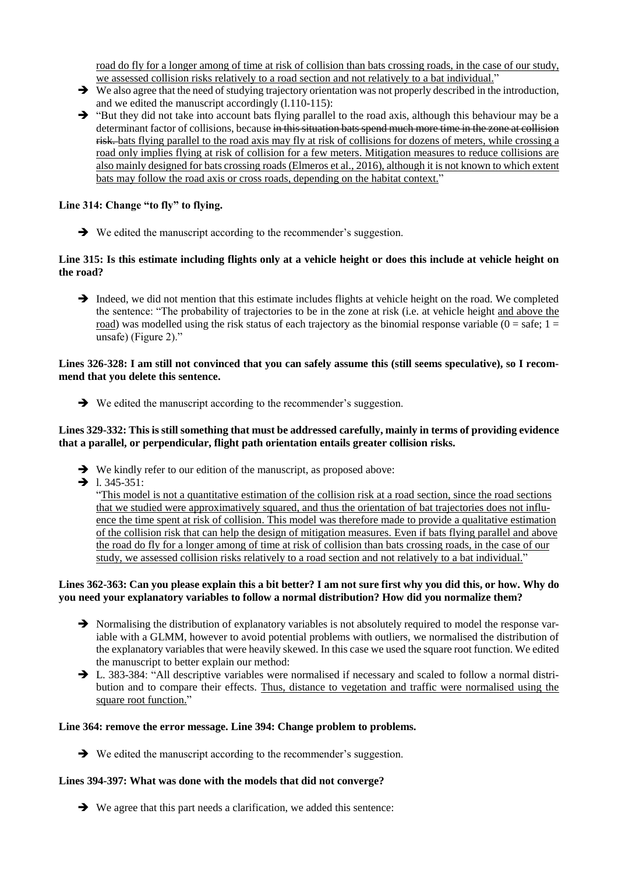road do fly for a longer among of time at risk of collision than bats crossing roads, in the case of our study, we assessed collision risks relatively to a road section and not relatively to a bat individual."

- ➔ We also agree that the need of studying trajectory orientation was not properly described in the introduction, and we edited the manuscript accordingly (l.110-115):
- ➔ "But they did not take into account bats flying parallel to the road axis, although this behaviour may be a determinant factor of collisions, because in this situation bats spend much more time in the zone at collision risk. bats flying parallel to the road axis may fly at risk of collisions for dozens of meters, while crossing a road only implies flying at risk of collision for a few meters. Mitigation measures to reduce collisions are also mainly designed for bats crossing roads (Elmeros et al., 2016), although it is not known to which extent bats may follow the road axis or cross roads, depending on the habitat context."

# **Line 314: Change "to fly" to flying.**

➔ We edited the manuscript according to the recommender's suggestion.

### **Line 315: Is this estimate including flights only at a vehicle height or does this include at vehicle height on the road?**

→ Indeed, we did not mention that this estimate includes flights at vehicle height on the road. We completed the sentence: "The probability of trajectories to be in the zone at risk (i.e. at vehicle height and above the road) was modelled using the risk status of each trajectory as the binomial response variable ( $0 =$  safe;  $1 =$ unsafe) (Figure 2)."

### **Lines 326-328: I am still not convinced that you can safely assume this (still seems speculative), so I recommend that you delete this sentence.**

➔ We edited the manuscript according to the recommender's suggestion.

## **Lines 329-332: This is still something that must be addressed carefully, mainly in terms of providing evidence that a parallel, or perpendicular, flight path orientation entails greater collision risks.**

- ➔ We kindly refer to our edition of the manuscript, as proposed above:
- $\rightarrow$  1. 345-351:

"This model is not a quantitative estimation of the collision risk at a road section, since the road sections that we studied were approximatively squared, and thus the orientation of bat trajectories does not influence the time spent at risk of collision. This model was therefore made to provide a qualitative estimation of the collision risk that can help the design of mitigation measures. Even if bats flying parallel and above the road do fly for a longer among of time at risk of collision than bats crossing roads, in the case of our study, we assessed collision risks relatively to a road section and not relatively to a bat individual."

## **Lines 362-363: Can you please explain this a bit better? I am not sure first why you did this, or how. Why do you need your explanatory variables to follow a normal distribution? How did you normalize them?**

- ➔ Normalising the distribution of explanatory variables is not absolutely required to model the response variable with a GLMM, however to avoid potential problems with outliers, we normalised the distribution of the explanatory variables that were heavily skewed. In this case we used the square root function. We edited the manuscript to better explain our method:
- → L. 383-384: "All descriptive variables were normalised if necessary and scaled to follow a normal distribution and to compare their effects. Thus, distance to vegetation and traffic were normalised using the square root function."

## **Line 364: remove the error message. Line 394: Change problem to problems.**

➔ We edited the manuscript according to the recommender's suggestion.

## **Lines 394-397: What was done with the models that did not converge?**

➔ We agree that this part needs a clarification, we added this sentence: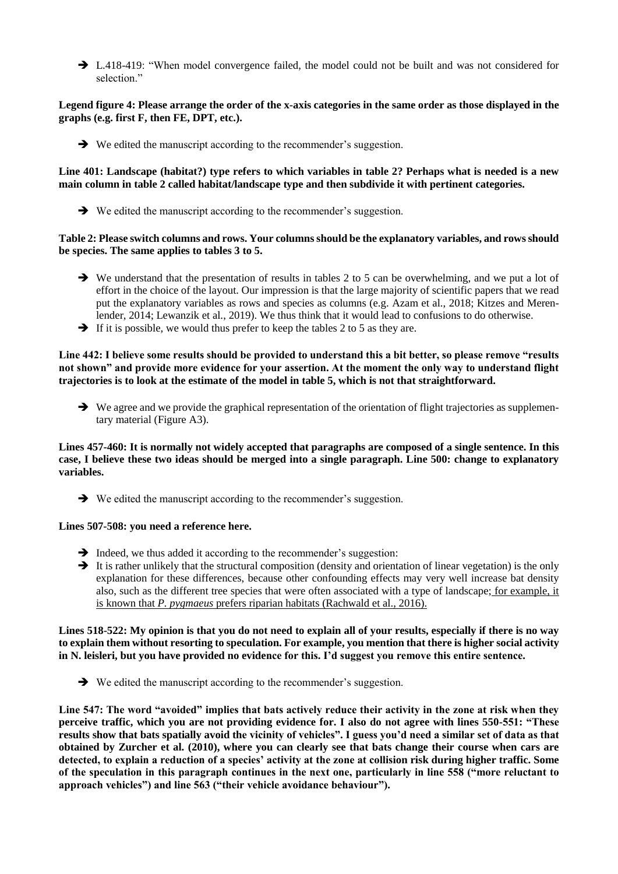→ L.418-419: "When model convergence failed, the model could not be built and was not considered for selection."

# **Legend figure 4: Please arrange the order of the x-axis categories in the same order as those displayed in the graphs (e.g. first F, then FE, DPT, etc.).**

➔ We edited the manuscript according to the recommender's suggestion.

## **Line 401: Landscape (habitat?) type refers to which variables in table 2? Perhaps what is needed is a new main column in table 2 called habitat/landscape type and then subdivide it with pertinent categories.**

➔ We edited the manuscript according to the recommender's suggestion.

## **Table 2: Please switch columns and rows. Your columns should be the explanatory variables, and rows should be species. The same applies to tables 3 to 5.**

- → We understand that the presentation of results in tables 2 to 5 can be overwhelming, and we put a lot of effort in the choice of the layout. Our impression is that the large majority of scientific papers that we read put the explanatory variables as rows and species as columns (e.g. Azam et al., 2018; Kitzes and Merenlender, 2014; Lewanzik et al., 2019). We thus think that it would lead to confusions to do otherwise.
- $\rightarrow$  If it is possible, we would thus prefer to keep the tables 2 to 5 as they are.

## **Line 442: I believe some results should be provided to understand this a bit better, so please remove "results not shown" and provide more evidence for your assertion. At the moment the only way to understand flight trajectories is to look at the estimate of the model in table 5, which is not that straightforward.**

**→** We agree and we provide the graphical representation of the orientation of flight trajectories as supplementary material (Figure A3).

**Lines 457-460: It is normally not widely accepted that paragraphs are composed of a single sentence. In this case, I believe these two ideas should be merged into a single paragraph. Line 500: change to explanatory variables.** 

➔ We edited the manuscript according to the recommender's suggestion.

## **Lines 507-508: you need a reference here.**

- $\rightarrow$  Indeed, we thus added it according to the recommender's suggestion:
- → It is rather unlikely that the structural composition (density and orientation of linear vegetation) is the only explanation for these differences, because other confounding effects may very well increase bat density also, such as the different tree species that were often associated with a type of landscape; for example, it is known that *P. pygmaeus* prefers riparian habitats (Rachwald et al., 2016).

**Lines 518-522: My opinion is that you do not need to explain all of your results, especially if there is no way to explain them without resorting to speculation. For example, you mention that there is higher social activity in N. leisleri, but you have provided no evidence for this. I'd suggest you remove this entire sentence.** 

➔ We edited the manuscript according to the recommender's suggestion.

**Line 547: The word "avoided" implies that bats actively reduce their activity in the zone at risk when they perceive traffic, which you are not providing evidence for. I also do not agree with lines 550-551: "These results show that bats spatially avoid the vicinity of vehicles". I guess you'd need a similar set of data as that obtained by Zurcher et al. (2010), where you can clearly see that bats change their course when cars are detected, to explain a reduction of a species' activity at the zone at collision risk during higher traffic. Some of the speculation in this paragraph continues in the next one, particularly in line 558 ("more reluctant to approach vehicles") and line 563 ("their vehicle avoidance behaviour").**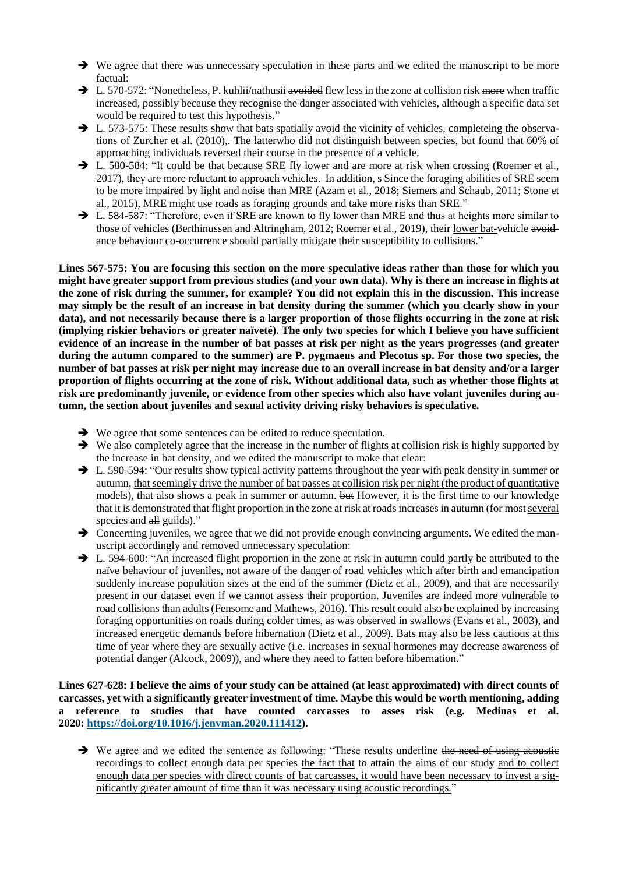- ➔ We agree that there was unnecessary speculation in these parts and we edited the manuscript to be more factual:
- → L. 570-572: "Nonetheless, P. kuhlii/nathusii avoided flew less in the zone at collision risk more when traffic increased, possibly because they recognise the danger associated with vehicles, although a specific data set would be required to test this hypothesis."
- $\rightarrow$  L. 573-575: These results show that bats spatially avoid the vicinity of vehicles, completeing the observations of Zurcher et al.  $(2010)$ , The latter who did not distinguish between species, but found that 60% of approaching individuals reversed their course in the presence of a vehicle.
- → L. 580-584: "It could be that because SRE fly lower and are more at risk when crossing (Roemer et al., 2017), they are more reluctant to approach vehicles. In addition, s Since the foraging abilities of SRE seem to be more impaired by light and noise than MRE (Azam et al., 2018; Siemers and Schaub, 2011; Stone et al., 2015), MRE might use roads as foraging grounds and take more risks than SRE."
- → L. 584-587: "Therefore, even if SRE are known to fly lower than MRE and thus at heights more similar to those of vehicles (Berthinussen and Altringham, 2012; Roemer et al., 2019), their lower bat-vehicle avoidance behaviour co-occurrence should partially mitigate their susceptibility to collisions."

**Lines 567-575: You are focusing this section on the more speculative ideas rather than those for which you might have greater support from previous studies (and your own data). Why is there an increase in flights at the zone of risk during the summer, for example? You did not explain this in the discussion. This increase may simply be the result of an increase in bat density during the summer (which you clearly show in your data), and not necessarily because there is a larger proportion of those flights occurring in the zone at risk (implying riskier behaviors or greater naïveté). The only two species for which I believe you have sufficient evidence of an increase in the number of bat passes at risk per night as the years progresses (and greater during the autumn compared to the summer) are P. pygmaeus and Plecotus sp. For those two species, the number of bat passes at risk per night may increase due to an overall increase in bat density and/or a larger proportion of flights occurring at the zone of risk. Without additional data, such as whether those flights at risk are predominantly juvenile, or evidence from other species which also have volant juveniles during autumn, the section about juveniles and sexual activity driving risky behaviors is speculative.** 

- ➔ We agree that some sentences can be edited to reduce speculation.
- ➔ We also completely agree that the increase in the number of flights at collision risk is highly supported by the increase in bat density, and we edited the manuscript to make that clear:
- ➔ L. 590-594: "Our results show typical activity patterns throughout the year with peak density in summer or autumn, that seemingly drive the number of bat passes at collision risk per night (the product of quantitative models), that also shows a peak in summer or autumn. but However, it is the first time to our knowledge that it is demonstrated that flight proportion in the zone at risk at roads increases in autumn (for most several species and all guilds)."
- **→** Concerning juveniles, we agree that we did not provide enough convincing arguments. We edited the manuscript accordingly and removed unnecessary speculation:
- ➔ L. 594-600: "An increased flight proportion in the zone at risk in autumn could partly be attributed to the naïve behaviour of juveniles, not aware of the danger of road vehicles which after birth and emancipation suddenly increase population sizes at the end of the summer (Dietz et al., 2009), and that are necessarily present in our dataset even if we cannot assess their proportion. Juveniles are indeed more vulnerable to road collisions than adults (Fensome and Mathews, 2016). This result could also be explained by increasing foraging opportunities on roads during colder times, as was observed in swallows (Evans et al., 2003), and increased energetic demands before hibernation (Dietz et al., 2009). Bats may also be less cautious at this time of year where they are sexually active (i.e. increases in sexual hormones may decrease awareness of potential danger (Alcock, 2009)), and where they need to fatten before hibernation."

**Lines 627-628: I believe the aims of your study can be attained (at least approximated) with direct counts of carcasses, yet with a significantly greater investment of time. Maybe this would be worth mentioning, adding a reference to studies that have counted carcasses to asses risk (e.g. Medinas et al. 2020: [https://doi.org/10.1016/j.jenvman.2020.111412\)](https://doi.org/10.1016/j.jenvman.2020.111412).** 

→ We agree and we edited the sentence as following: "These results underline the need of using acoustic recordings to collect enough data per species the fact that to attain the aims of our study and to collect enough data per species with direct counts of bat carcasses, it would have been necessary to invest a significantly greater amount of time than it was necessary using acoustic recordings."